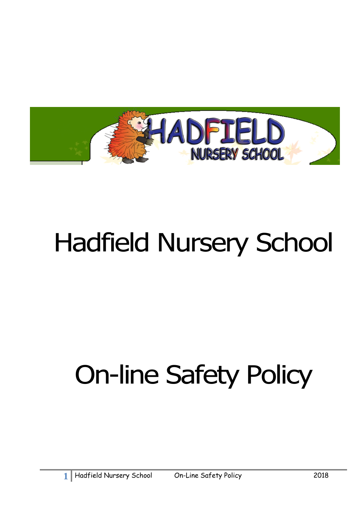

# Hadfield Nursery School

# On-line Safety Policy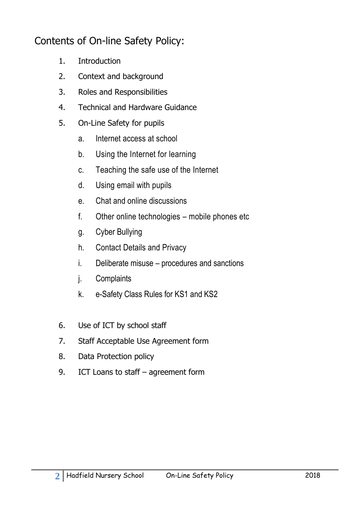# Contents of On-line Safety Policy:

- 1. Introduction
- 2. Context and background
- 3. Roles and Responsibilities
- 4. Technical and Hardware Guidance
- 5. On-Line Safety for pupils
	- a. Internet access at school
	- b. Using the Internet for learning
	- c. Teaching the safe use of the Internet
	- d. Using email with pupils
	- e. Chat and online discussions
	- f. Other online technologies mobile phones etc
	- g. Cyber Bullying
	- h. Contact Details and Privacy
	- i. Deliberate misuse procedures and sanctions
	- j. Complaints
	- k. e-Safety Class Rules for KS1 and KS2
- 6. Use of ICT by school staff
- 7. Staff Acceptable Use Agreement form
- 8. Data Protection policy
- 9. ICT Loans to staff agreement form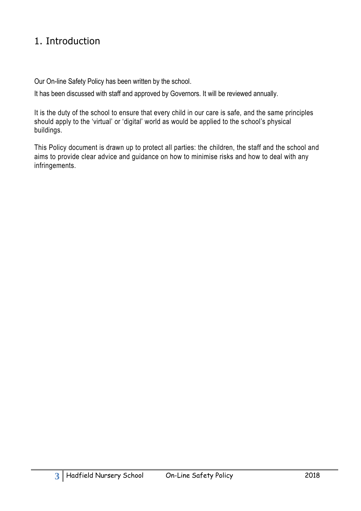# 1. Introduction

Our On-line Safety Policy has been written by the school.

It has been discussed with staff and approved by Governors. It will be reviewed annually.

It is the duty of the school to ensure that every child in our care is safe, and the same principles should apply to the 'virtual' or 'digital' world as would be applied to the school's physical buildings.

This Policy document is drawn up to protect all parties: the children, the staff and the school and aims to provide clear advice and guidance on how to minimise risks and how to deal with any infringements.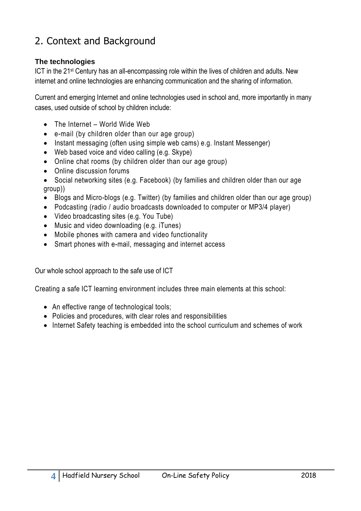# 2. Context and Background

#### **The technologies**

ICT in the 21st Century has an all-encompassing role within the lives of children and adults. New internet and online technologies are enhancing communication and the sharing of information.

Current and emerging Internet and online technologies used in school and, more importantly in many cases, used outside of school by children include:

- The Internet World Wide Web
- e-mail (by children older than our age group)
- Instant messaging (often using simple web cams) e.g. Instant Messenger)
- Web based voice and video calling (e.g. Skype)
- Online chat rooms (by children older than our age group)
- Online discussion forums
- Social networking sites (e.g. Facebook) (by families and children older than our age group))
- Blogs and Micro-blogs (e.g. Twitter) (by families and children older than our age group)
- Podcasting (radio / audio broadcasts downloaded to computer or MP3/4 player)
- Video broadcasting sites (e.g. You Tube)
- Music and video downloading (e.g. iTunes)
- Mobile phones with camera and video functionality
- Smart phones with e-mail, messaging and internet access

Our whole school approach to the safe use of ICT

Creating a safe ICT learning environment includes three main elements at this school:

- An effective range of technological tools;
- Policies and procedures, with clear roles and responsibilities
- Internet Safety teaching is embedded into the school curriculum and schemes of work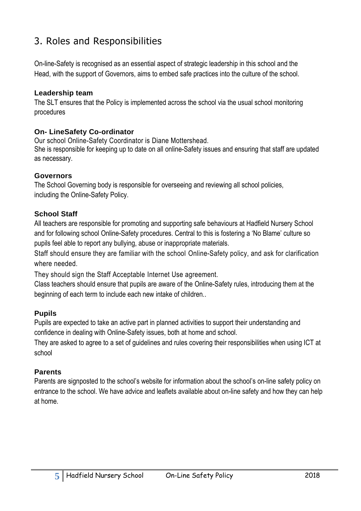# 3. Roles and Responsibilities

On-line-Safety is recognised as an essential aspect of strategic leadership in this school and the Head, with the support of Governors, aims to embed safe practices into the culture of the school.

#### **Leadership team**

The SLT ensures that the Policy is implemented across the school via the usual school monitoring procedures

#### **On- LineSafety Co-ordinator**

Our school Online-Safety Coordinator is Diane Mottershead. She is responsible for keeping up to date on all online-Safety issues and ensuring that staff are updated as necessary.

#### **Governors**

The School Governing body is responsible for overseeing and reviewing all school policies, including the Online-Safety Policy.

#### **School Staff**

All teachers are responsible for promoting and supporting safe behaviours at Hadfield Nursery School and for following school Online-Safety procedures. Central to this is fostering a 'No Blame' culture so pupils feel able to report any bullying, abuse or inappropriate materials.

Staff should ensure they are familiar with the school Online-Safety policy, and ask for clarification where needed.

They should sign the Staff Acceptable Internet Use agreement.

Class teachers should ensure that pupils are aware of the Online-Safety rules, introducing them at the beginning of each term to include each new intake of children..

#### **Pupils**

Pupils are expected to take an active part in planned activities to support their understanding and confidence in dealing with Online-Safety issues, both at home and school.

They are asked to agree to a set of guidelines and rules covering their responsibilities when using ICT at school

#### **Parents**

Parents are signposted to the school's website for information about the school's on-line safety policy on entrance to the school. We have advice and leaflets available about on-line safety and how they can help at home.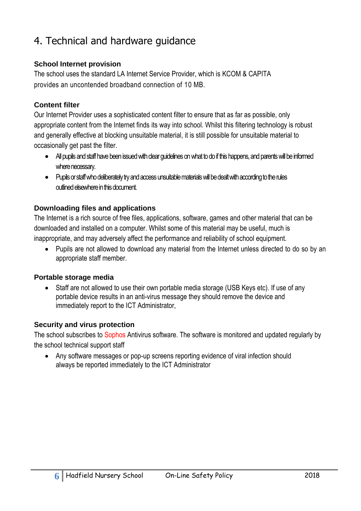# 4. Technical and hardware guidance

#### **School Internet provision**

The school uses the standard LA Internet Service Provider, which is KCOM & CAPITA provides an uncontended broadband connection of 10 MB.

### **Content filter**

Our Internet Provider uses a sophisticated content filter to ensure that as far as possible, only appropriate content from the Internet finds its way into school. Whilst this filtering technology is robust and generally effective at blocking unsuitable material, it is still possible for unsuitable material to occasionally get past the filter.

- All pupils and staff have been issued with dear quidelines on what to do if this happens, and parents will be informed where necessary.
- Pupils or staff who deliberately try and access unsuitable materials will be dealt with according to the rules outlined elsewhere in this document.

### **Downloading files and applications**

The Internet is a rich source of free files, applications, software, games and other material that can be downloaded and installed on a computer. Whilst some of this material may be useful, much is inappropriate, and may adversely affect the performance and reliability of school equipment.

 Pupils are not allowed to download any material from the Internet unless directed to do so by an appropriate staff member.

#### **Portable storage media**

 Staff are not allowed to use their own portable media storage (USB Keys etc). If use of any portable device results in an anti-virus message they should remove the device and immediately report to the ICT Administrator,

#### **Security and virus protection**

The school subscribes to Sophos Antivirus software. The software is monitored and updated regularly by the school technical support staff

 Any software messages or pop-up screens reporting evidence of viral infection should always be reported immediately to the ICT Administrator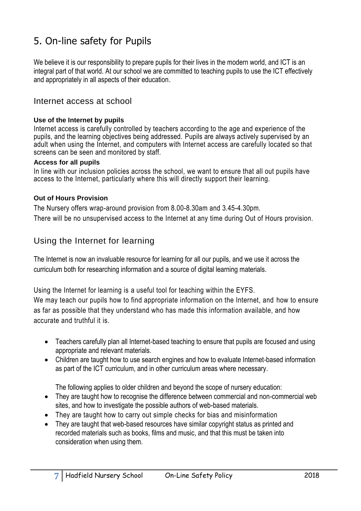# 5. On-line safety for Pupils

We believe it is our responsibility to prepare pupils for their lives in the modern world, and ICT is an integral part of that world. At our school we are committed to teaching pupils to use the ICT effectively and appropriately in all aspects of their education.

#### Internet access at school

#### **Use of the Internet by pupils**

Internet access is carefully controlled by teachers according to the age and experience of the pupils, and the learning objectives being addressed. Pupils are always actively supervised by an adult when using the Internet, and computers with Internet access are carefully located so that screens can be seen and monitored by staff.

#### **Access for all pupils**

In line with our inclusion policies across the school, we want to ensure that all out pupils have access to the Internet, particularly where this will directly support their learning.

#### **Out of Hours Provision**

The Nursery offers wrap-around provision from 8.00-8.30am and 3.45-4.30pm. There will be no unsupervised access to the Internet at any time during Out of Hours provision.

## Using the Internet for learning

The Internet is now an invaluable resource for learning for all our pupils, and we use it across the curriculum both for researching information and a source of digital learning materials.

Using the Internet for learning is a useful tool for teaching within the EYFS. We may teach our pupils how to find appropriate information on the Internet, and how to ensure as far as possible that they understand who has made this information available, and how accurate and truthful it is.

- Teachers carefully plan all Internet-based teaching to ensure that pupils are focused and using appropriate and relevant materials.
- Children are taught how to use search engines and how to evaluate Internet-based information as part of the ICT curriculum, and in other curriculum areas where necessary.

The following applies to older children and beyond the scope of nursery education:

- They are taught how to recognise the difference between commercial and non-commercial web sites, and how to investigate the possible authors of web-based materials.
- They are taught how to carry out simple checks for bias and misinformation
- They are taught that web-based resources have similar copyright status as printed and recorded materials such as books, films and music, and that this must be taken into consideration when using them.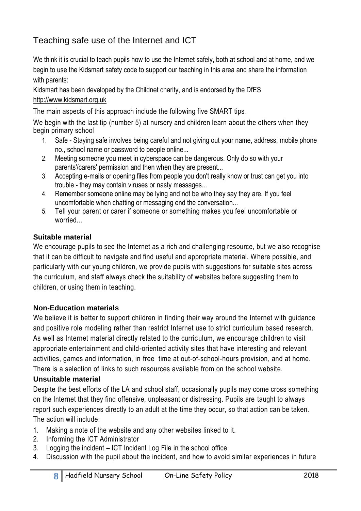# Teaching safe use of the Internet and ICT

We think it is crucial to teach pupils how to use the Internet safely, both at school and at home, and we begin to use the Kidsmart safety code to support our teaching in this area and share the information with parents:

Kidsmart has been developed by the Childnet charity, and is endorsed by the DfES [http://www.kidsmart.org.uk](http://www.kidsmart.org.uk/)

The main aspects of this approach include the following five SMART tips.

We begin with the last tip (number 5) at nursery and children learn about the others when they begin primary school

- 1. Safe Staying safe involves being careful and not giving out your name, address, mobile phone no., school name or password to people online...
- 2. Meeting someone you meet in cyberspace can be dangerous. Only do so with your parents'/carers' permission and then when they are present...
- 3. Accepting e-mails or opening files from people you don't really know or trust can get you into trouble - they may contain viruses or nasty messages...
- 4. Remember someone online may be lying and not be who they say they are. If you feel uncomfortable when chatting or messaging end the conversation...
- 5. Tell your parent or carer if someone or something makes you feel uncomfortable or worried...

## **Suitable material**

We encourage pupils to see the Internet as a rich and challenging resource, but we also recognise that it can be difficult to navigate and find useful and appropriate material. Where possible, and particularly with our young children, we provide pupils with suggestions for suitable sites across the curriculum, and staff always check the suitability of websites before suggesting them to children, or using them in teaching.

## **Non-Education materials**

We believe it is better to support children in finding their way around the Internet with guidance and positive role modeling rather than restrict Internet use to strict curriculum based research. As well as Internet material directly related to the curriculum, we encourage children to visit appropriate entertainment and child-oriented activity sites that have interesting and relevant activities, games and information, in free time at out-of-school-hours provision, and at home. There is a selection of links to such resources available from on the school website.

## **Unsuitable material**

Despite the best efforts of the LA and school staff, occasionally pupils may come cross something on the Internet that they find offensive, unpleasant or distressing. Pupils are taught to always report such experiences directly to an adult at the time they occur, so that action can be taken. The action will include:

- 1. Making a note of the website and any other websites linked to it.
- 2. Informing the ICT Administrator
- 3. Logging the incident ICT Incident Log File in the school office
- 4. Discussion with the pupil about the incident, and how to avoid similar experiences in future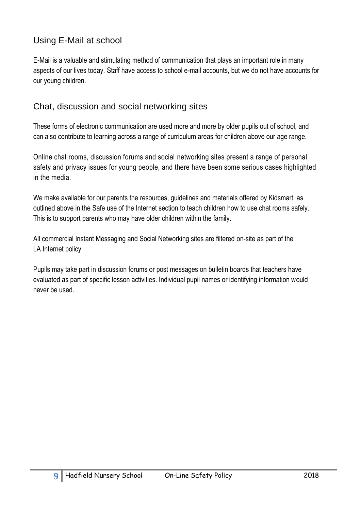## Using E-Mail at school

E-Mail is a valuable and stimulating method of communication that plays an important role in many aspects of our lives today. Staff have access to school e-mail accounts, but we do not have accounts for our young children.

## Chat, discussion and social networking sites

These forms of electronic communication are used more and more by older pupils out of school, and can also contribute to learning across a range of curriculum areas for children above our age range.

Online chat rooms, discussion forums and social networking sites present a range of personal safety and privacy issues for young people, and there have been some serious cases highlighted in the media.

We make available for our parents the resources, guidelines and materials offered by Kidsmart, as outlined above in the Safe use of the Internet section to teach children how to use chat rooms safely. This is to support parents who may have older children within the family.

All commercial Instant Messaging and Social Networking sites are filtered on-site as part of the LA Internet policy

Pupils may take part in discussion forums or post messages on bulletin boards that teachers have evaluated as part of specific lesson activities. Individual pupil names or identifying information would never be used.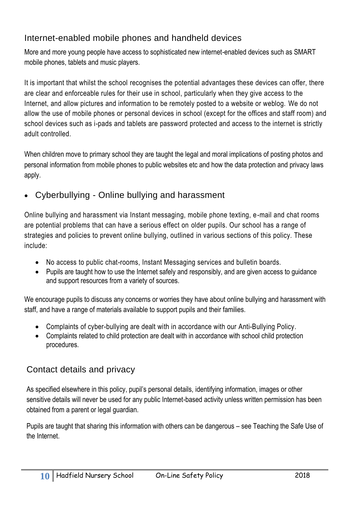## Internet-enabled mobile phones and handheld devices

More and more young people have access to sophisticated new internet-enabled devices such as SMART mobile phones, tablets and music players.

It is important that whilst the school recognises the potential advantages these devices can offer, there are clear and enforceable rules for their use in school, particularly when they give access to the Internet, and allow pictures and information to be remotely posted to a website or weblog. We do not allow the use of mobile phones or personal devices in school (except for the offices and staff room) and school devices such as i-pads and tablets are password protected and access to the internet is strictly adult controlled.

When children move to primary school they are taught the legal and moral implications of posting photos and personal information from mobile phones to public websites etc and how the data protection and privacy laws apply.

Cyberbullying - Online bullying and harassment

Online bullying and harassment via Instant messaging, mobile phone texting, e-mail and chat rooms are potential problems that can have a serious effect on older pupils. Our school has a range of strategies and policies to prevent online bullying, outlined in various sections of this policy. These include:

- No access to public chat-rooms, Instant Messaging services and bulletin boards.
- Pupils are taught how to use the Internet safely and responsibly, and are given access to guidance and support resources from a variety of sources.

We encourage pupils to discuss any concerns or worries they have about online bullying and harassment with staff, and have a range of materials available to support pupils and their families.

- Complaints of cyber-bullying are dealt with in accordance with our Anti-Bullying Policy.
- Complaints related to child protection are dealt with in accordance with school child protection procedures.

## Contact details and privacy

As specified elsewhere in this policy, pupil's personal details, identifying information, images or other sensitive details will never be used for any public Internet-based activity unless written permission has been obtained from a parent or legal guardian.

Pupils are taught that sharing this information with others can be dangerous – see Teaching the Safe Use of the Internet.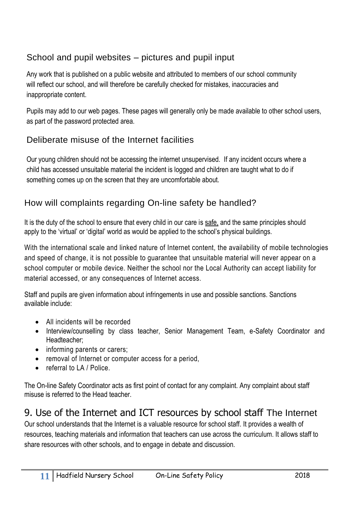## School and pupil websites – pictures and pupil input

Any work that is published on a public website and attributed to members of our school community will reflect our school, and will therefore be carefully checked for mistakes, inaccuracies and inappropriate content.

Pupils may add to our web pages. These pages will generally only be made available to other school users, as part of the password protected area.

## Deliberate misuse of the Internet facilities

Our young children should not be accessing the internet unsupervised. If any incident occurs where a child has accessed unsuitable material the incident is logged and children are taught what to do if something comes up on the screen that they are uncomfortable about.

## How will complaints regarding On-line safety be handled?

It is the duty of the school to ensure that every child in our care is safe, and the same principles should apply to the 'virtual' or 'digital' world as would be applied to the school's physical buildings.

With the international scale and linked nature of Internet content, the availability of mobile technologies and speed of change, it is not possible to guarantee that unsuitable material will never appear on a school computer or mobile device. Neither the school nor the Local Authority can accept liability for material accessed, or any consequences of Internet access.

Staff and pupils are given information about infringements in use and possible sanctions. Sanctions available include:

- All incidents will be recorded
- Interview/counselling by class teacher, Senior Management Team, e-Safety Coordinator and Headteacher;
- informing parents or carers;
- removal of Internet or computer access for a period,
- referral to LA / Police.

The On-line Safety Coordinator acts as first point of contact for any complaint. Any complaint about staff misuse is referred to the Head teacher.

## 9. Use of the Internet and ICT resources by school staff The Internet

Our school understands that the Internet is a valuable resource for school staff. It provides a wealth of resources, teaching materials and information that teachers can use across the curriculum. It allows staff to share resources with other schools, and to engage in debate and discussion.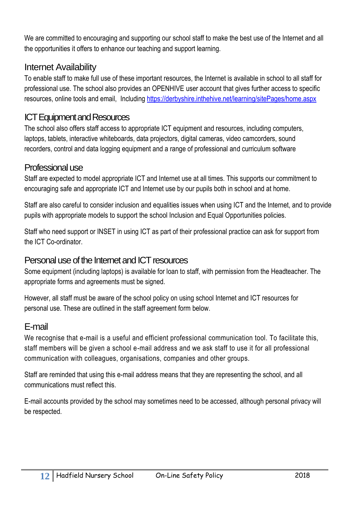We are committed to encouraging and supporting our school staff to make the best use of the Internet and all the opportunities it offers to enhance our teaching and support learning.

## Internet Availability

To enable staff to make full use of these important resources, the Internet is available in school to all staff for professional use. The school also provides an OPENHIVE user account that gives further access to specific resources, online tools and email, Including<https://derbyshire.inthehive.net/learning/sitePages/home.aspx>

## ICT Equipment and Resources

The school also offers staff access to appropriate ICT equipment and resources, including computers, laptops, tablets, interactive whiteboards, data projectors, digital cameras, video camcorders, sound recorders, control and data logging equipment and a range of professional and curriculum software

## Professional use

Staff are expected to model appropriate ICT and Internet use at all times. This supports our commitment to encouraging safe and appropriate ICT and Internet use by our pupils both in school and at home.

Staff are also careful to consider inclusion and equalities issues when using ICT and the Internet, and to provide pupils with appropriate models to support the school Inclusion and Equal Opportunities policies.

Staff who need support or INSET in using ICT as part of their professional practice can ask for support from the ICT Co-ordinator.

## Personal use of the Internet and ICT resources

Some equipment (including laptops) is available for loan to staff, with permission from the Headteacher. The appropriate forms and agreements must be signed.

However, all staff must be aware of the school policy on using school Internet and ICT resources for personal use. These are outlined in the staff agreement form below.

## E-mail

We recognise that e-mail is a useful and efficient professional communication tool. To facilitate this, staff members will be given a school e-mail address and we ask staff to use it for all professional communication with colleagues, organisations, companies and other groups.

Staff are reminded that using this e-mail address means that they are representing the school, and all communications must reflect this.

E-mail accounts provided by the school may sometimes need to be accessed, although personal privacy will be respected.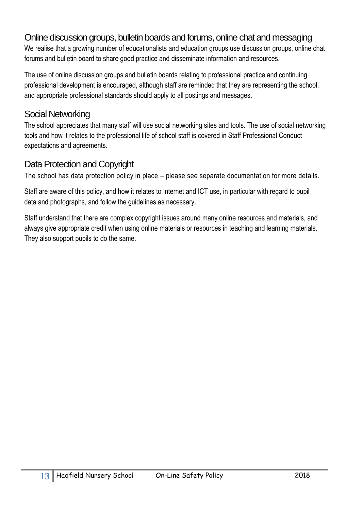## Online discussion groups, bulletin boards and forums, online chat and messaging

We realise that a growing number of educationalists and education groups use discussion groups, online chat forums and bulletin board to share good practice and disseminate information and resources.

The use of online discussion groups and bulletin boards relating to professional practice and continuing professional development is encouraged, although staff are reminded that they are representing the school, and appropriate professional standards should apply to all postings and messages.

## Social Networking

The school appreciates that many staff will use social networking sites and tools. The use of social networking tools and how it relates to the professional life of school staff is covered in Staff Professional Conduct expectations and agreements.

## Data Protection and Copyright

The school has data protection policy in place – please see separate documentation for more details.

Staff are aware of this policy, and how it relates to Internet and ICT use, in particular with regard to pupil data and photographs, and follow the guidelines as necessary.

Staff understand that there are complex copyright issues around many online resources and materials, and always give appropriate credit when using online materials or resources in teaching and learning materials. They also support pupils to do the same.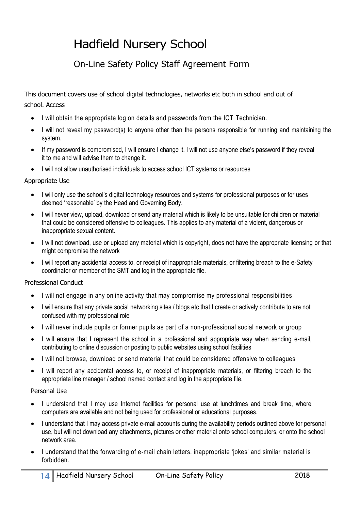# Hadfield Nursery School

## On-Line Safety Policy Staff Agreement Form

This document covers use of school digital technologies, networks etc both in school and out of school. Access

- I will obtain the appropriate log on details and passwords from the ICT Technician.
- I will not reveal my password(s) to anyone other than the persons responsible for running and maintaining the system.
- If my password is compromised, I will ensure I change it. I will not use anyone else's password if they reveal it to me and will advise them to change it.
- I will not allow unauthorised individuals to access school ICT systems or resources

#### Appropriate Use

- I will only use the school's digital technology resources and systems for professional purposes or for uses deemed 'reasonable' by the Head and Governing Body.
- I will never view, upload, download or send any material which is likely to be unsuitable for children or material that could be considered offensive to colleagues. This applies to any material of a violent, dangerous or inappropriate sexual content.
- I will not download, use or upload any material which is copyright, does not have the appropriate licensing or that might compromise the network
- I will report any accidental access to, or receipt of inappropriate materials, or filtering breach to the e-Safety coordinator or member of the SMT and log in the appropriate file.

#### Professional Conduct

- I will not engage in any online activity that may compromise my professional responsibilities
- I will ensure that any private social networking sites / blogs etc that I create or actively contribute to are not confused with my professional role
- I will never include pupils or former pupils as part of a non-professional social network or group
- I will ensure that I represent the school in a professional and appropriate way when sending e-mail, contributing to online discussion or posting to public websites using school facilities
- I will not browse, download or send material that could be considered offensive to colleagues
- I will report any accidental access to, or receipt of inappropriate materials, or filtering breach to the appropriate line manager / school named contact and log in the appropriate file.

#### Personal Use

- I understand that I may use Internet facilities for personal use at lunchtimes and break time, where computers are available and not being used for professional or educational purposes.
- I understand that I may access private e-mail accounts during the availability periods outlined above for personal use, but will not download any attachments, pictures or other material onto school computers, or onto the school network area.
- I understand that the forwarding of e-mail chain letters, inappropriate 'jokes' and similar material is forbidden.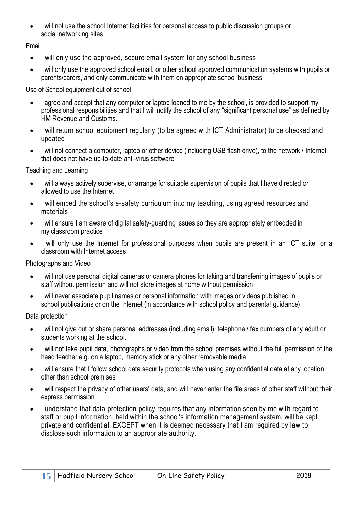I will not use the school Internet facilities for personal access to public discussion groups or social networking sites

Email

- I will only use the approved, secure email system for any school business
- I will only use the approved school email, or other school approved communication systems with pupils or parents/carers, and only communicate with them on appropriate school business.

Use of School equipment out of school

- I agree and accept that any computer or laptop loaned to me by the school, is provided to support my professional responsibilities and that I will notify the school of any "significant personal use" as defined by HM Revenue and Customs.
- I will return school equipment regularly (to be agreed with ICT Administrator) to be checked and updated
- I will not connect a computer, laptop or other device (including USB flash drive), to the network / Internet that does not have up-to-date anti-virus software

Teaching and Learning

- I will always actively supervise, or arrange for suitable supervision of pupils that I have directed or allowed to use the Internet
- I will embed the school's e-safety curriculum into my teaching, using agreed resources and materials
- I will ensure I am aware of digital safety-quarding issues so they are appropriately embedded in my classroom practice
- I will only use the Internet for professional purposes when pupils are present in an ICT suite, or a classroom with Internet access

Photographs and Video

- I will not use personal digital cameras or camera phones for taking and transferring images of pupils or staff without permission and will not store images at home without permission
- I will never associate pupil names or personal information with images or videos published in school publications or on the Internet (in accordance with school policy and parental guidance)

Data protection

- I will not give out or share personal addresses (including email), telephone / fax numbers of any adult or students working at the school.
- I will not take pupil data, photographs or video from the school premises without the full permission of the head teacher e.g. on a laptop, memory stick or any other removable media
- I will ensure that I follow school data security protocols when using any confidential data at any location other than school premises
- I will respect the privacy of other users' data, and will never enter the file areas of other staff without their express permission
- I understand that data protection policy requires that any information seen by me with regard to staff or pupil information, held within the school's information management system, will be kept private and confidential, EXCEPT when it is deemed necessary that I am required by law to disclose such information to an appropriate authority.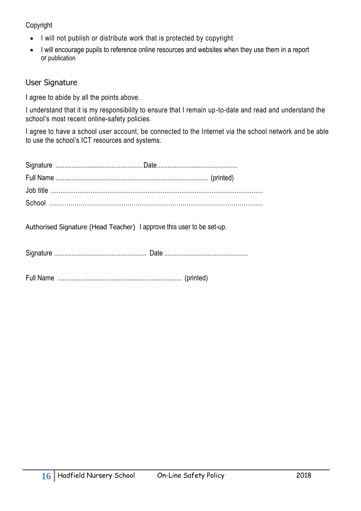Copyright

- I will not publish or distribute work that is protected by copyright
- I will encourage pupils to reference online resources and websites when they use them in a report or publication

## User Signature

I agree to abide by all the points above.

I understand that it is my responsibility to ensure that I remain up-to-date and read and understand the school's most recent online-safety policies.

I agree to have a school user account, be connected to the Internet via the school network and be able to use the school's ICT resources and systems.

Authorised Signature (Head Teacher) I approve this user to be set-up.

Signature ..................................................... Date ................................................

Full Name ....................................................................... (printed)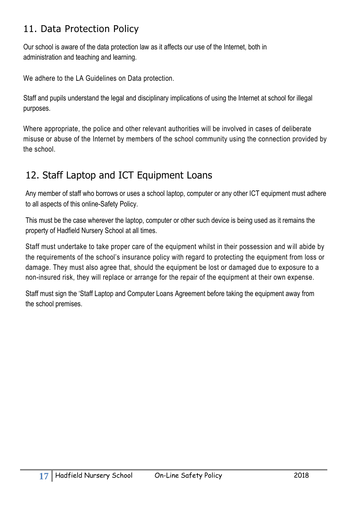# 11. Data Protection Policy

Our school is aware of the data protection law as it affects our use of the Internet, both in administration and teaching and learning.

We adhere to the LA Guidelines on Data protection.

Staff and pupils understand the legal and disciplinary implications of using the Internet at school for illegal purposes.

Where appropriate, the police and other relevant authorities will be involved in cases of deliberate misuse or abuse of the Internet by members of the school community using the connection provided by the school.

# 12. Staff Laptop and ICT Equipment Loans

Any member of staff who borrows or uses a school laptop, computer or any other ICT equipment must adhere to all aspects of this online-Safety Policy.

This must be the case wherever the laptop, computer or other such device is being used as it remains the property of Hadfield Nursery School at all times.

Staff must undertake to take proper care of the equipment whilst in their possession and will abide by the requirements of the school's insurance policy with regard to protecting the equipment from loss or damage. They must also agree that, should the equipment be lost or damaged due to exposure to a non-insured risk, they will replace or arrange for the repair of the equipment at their own expense.

Staff must sign the 'Staff Laptop and Computer Loans Agreement before taking the equipment away from the school premises.